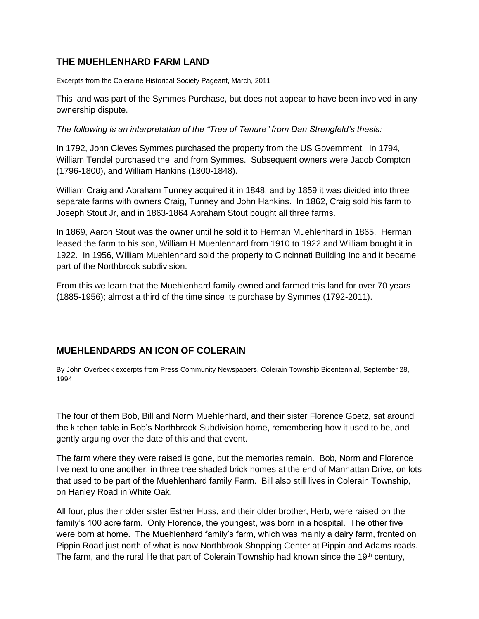## **THE MUEHLENHARD FARM LAND**

Excerpts from the Coleraine Historical Society Pageant, March, 2011

This land was part of the Symmes Purchase, but does not appear to have been involved in any ownership dispute.

*The following is an interpretation of the "Tree of Tenure" from Dan Strengfeld's thesis:*

In 1792, John Cleves Symmes purchased the property from the US Government. In 1794, William Tendel purchased the land from Symmes. Subsequent owners were Jacob Compton (1796-1800), and William Hankins (1800-1848).

William Craig and Abraham Tunney acquired it in 1848, and by 1859 it was divided into three separate farms with owners Craig, Tunney and John Hankins. In 1862, Craig sold his farm to Joseph Stout Jr, and in 1863-1864 Abraham Stout bought all three farms.

In 1869, Aaron Stout was the owner until he sold it to Herman Muehlenhard in 1865. Herman leased the farm to his son, William H Muehlenhard from 1910 to 1922 and William bought it in 1922. In 1956, William Muehlenhard sold the property to Cincinnati Building Inc and it became part of the Northbrook subdivision.

From this we learn that the Muehlenhard family owned and farmed this land for over 70 years (1885-1956); almost a third of the time since its purchase by Symmes (1792-2011).

## **MUEHLENDARDS AN ICON OF COLERAIN**

By John Overbeck excerpts from Press Community Newspapers, Colerain Township Bicentennial, September 28, 1994

The four of them Bob, Bill and Norm Muehlenhard, and their sister Florence Goetz, sat around the kitchen table in Bob's Northbrook Subdivision home, remembering how it used to be, and gently arguing over the date of this and that event.

The farm where they were raised is gone, but the memories remain. Bob, Norm and Florence live next to one another, in three tree shaded brick homes at the end of Manhattan Drive, on lots that used to be part of the Muehlenhard family Farm. Bill also still lives in Colerain Township, on Hanley Road in White Oak.

All four, plus their older sister Esther Huss, and their older brother, Herb, were raised on the family's 100 acre farm. Only Florence, the youngest, was born in a hospital. The other five were born at home. The Muehlenhard family's farm, which was mainly a dairy farm, fronted on Pippin Road just north of what is now Northbrook Shopping Center at Pippin and Adams roads. The farm, and the rural life that part of Colerain Township had known since the 19<sup>th</sup> century,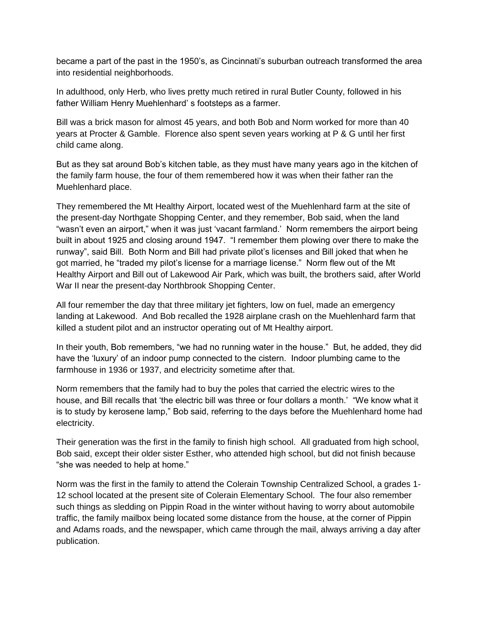became a part of the past in the 1950's, as Cincinnati's suburban outreach transformed the area into residential neighborhoods.

In adulthood, only Herb, who lives pretty much retired in rural Butler County, followed in his father William Henry Muehlenhard' s footsteps as a farmer.

Bill was a brick mason for almost 45 years, and both Bob and Norm worked for more than 40 years at Procter & Gamble. Florence also spent seven years working at P & G until her first child came along.

But as they sat around Bob's kitchen table, as they must have many years ago in the kitchen of the family farm house, the four of them remembered how it was when their father ran the Muehlenhard place.

They remembered the Mt Healthy Airport, located west of the Muehlenhard farm at the site of the present-day Northgate Shopping Center, and they remember, Bob said, when the land "wasn't even an airport," when it was just 'vacant farmland.' Norm remembers the airport being built in about 1925 and closing around 1947. "I remember them plowing over there to make the runway", said Bill. Both Norm and Bill had private pilot's licenses and Bill joked that when he got married, he "traded my pilot's license for a marriage license." Norm flew out of the Mt Healthy Airport and Bill out of Lakewood Air Park, which was built, the brothers said, after World War II near the present-day Northbrook Shopping Center.

All four remember the day that three military jet fighters, low on fuel, made an emergency landing at Lakewood. And Bob recalled the 1928 airplane crash on the Muehlenhard farm that killed a student pilot and an instructor operating out of Mt Healthy airport.

In their youth, Bob remembers, "we had no running water in the house." But, he added, they did have the 'luxury' of an indoor pump connected to the cistern. Indoor plumbing came to the farmhouse in 1936 or 1937, and electricity sometime after that.

Norm remembers that the family had to buy the poles that carried the electric wires to the house, and Bill recalls that 'the electric bill was three or four dollars a month.' "We know what it is to study by kerosene lamp," Bob said, referring to the days before the Muehlenhard home had electricity.

Their generation was the first in the family to finish high school. All graduated from high school, Bob said, except their older sister Esther, who attended high school, but did not finish because "she was needed to help at home."

Norm was the first in the family to attend the Colerain Township Centralized School, a grades 1- 12 school located at the present site of Colerain Elementary School. The four also remember such things as sledding on Pippin Road in the winter without having to worry about automobile traffic, the family mailbox being located some distance from the house, at the corner of Pippin and Adams roads, and the newspaper, which came through the mail, always arriving a day after publication.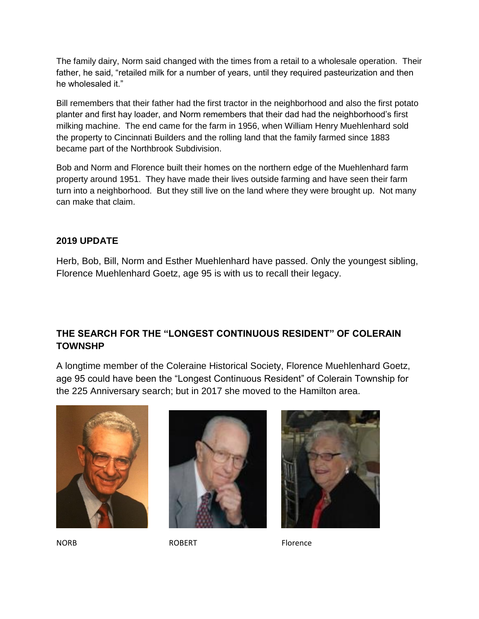The family dairy, Norm said changed with the times from a retail to a wholesale operation. Their father, he said, "retailed milk for a number of years, until they required pasteurization and then he wholesaled it."

Bill remembers that their father had the first tractor in the neighborhood and also the first potato planter and first hay loader, and Norm remembers that their dad had the neighborhood's first milking machine. The end came for the farm in 1956, when William Henry Muehlenhard sold the property to Cincinnati Builders and the rolling land that the family farmed since 1883 became part of the Northbrook Subdivision.

Bob and Norm and Florence built their homes on the northern edge of the Muehlenhard farm property around 1951. They have made their lives outside farming and have seen their farm turn into a neighborhood. But they still live on the land where they were brought up. Not many can make that claim.

## **2019 UPDATE**

Herb, Bob, Bill, Norm and Esther Muehlenhard have passed. Only the youngest sibling, Florence Muehlenhard Goetz, age 95 is with us to recall their legacy.

## **THE SEARCH FOR THE "LONGEST CONTINUOUS RESIDENT" OF COLERAIN TOWNSHP**

A longtime member of the Coleraine Historical Society, Florence Muehlenhard Goetz, age 95 could have been the "Longest Continuous Resident" of Colerain Township for the 225 Anniversary search; but in 2017 she moved to the Hamilton area.









NORB ROBERT Florence